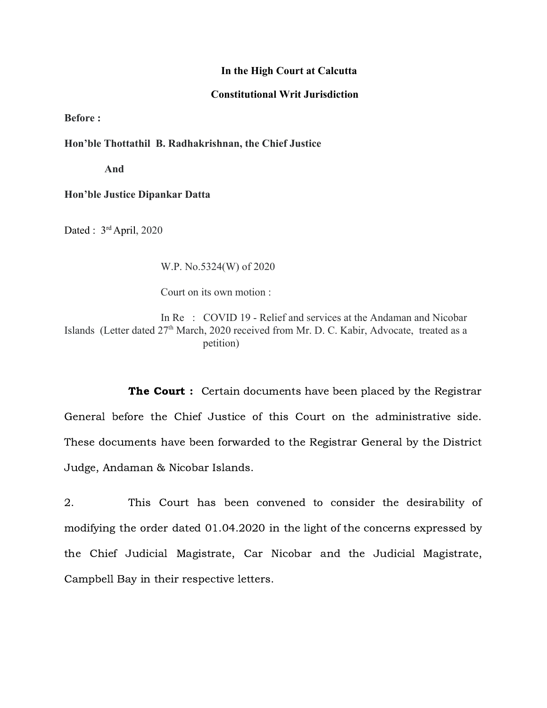## **In the High Court at Calcutta**

## **Constitutional Writ Jurisdiction**

**Before :**

**Hon'ble Thottathil B. Radhakrishnan, the Chief Justice**

 **And**

**Hon'ble Justice Dipankar Datta**

Dated : 3<sup>rd</sup> April, 2020

W.P. No.5324(W) of 2020

Court on its own motion :

In Re : COVID 19 - Relief and services at the Andaman and Nicobar Islands (Letter dated 27<sup>th</sup> March, 2020 received from Mr. D. C. Kabir, Advocate, treated as a petition)

**The Court :** Certain documents have been placed by the Registrar General before the Chief Justice of this Court on the administrative side. These documents have been forwarded to the Registrar General by the District Judge, Andaman & Nicobar Islands.

2. This Court has been convened to consider the desirability of modifying the order dated 01.04.2020 in the light of the concerns expressed by the Chief Judicial Magistrate, Car Nicobar and the Judicial Magistrate, Campbell Bay in their respective letters.